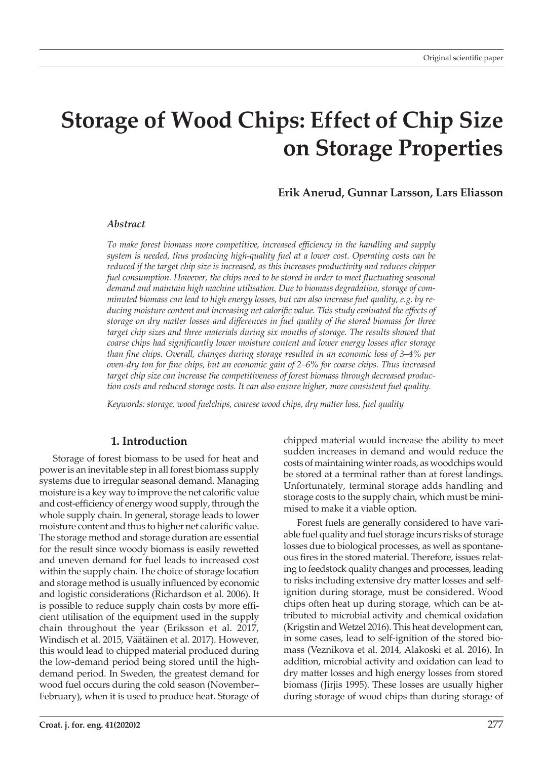# **Storage of Wood Chips: Effect of Chip Size on Storage Properties**

## **Erik Anerud, Gunnar Larsson, Lars Eliasson**

#### *Abstract*

*To make forest biomass more competitive, increased efficiency in the handling and supply system is needed, thus producing high-quality fuel at a lower cost. Operating costs can be reduced if the target chip size is increased, as this increases productivity and reduces chipper*  fuel consumption. However, the chips need to be stored in order to meet fluctuating seasonal *demand and maintain high machine utilisation. Due to biomass degradation, storage of comminuted biomass can lead to high energy losses, but can also increase fuel quality, e.g. by reducing moisture content and increasing net calorific value. This study evaluated the effects of storage on dry matter losses and differences in fuel quality of the stored biomass for three*  target chip sizes and three materials during six months of storage. The results showed that *coarse chips had significantly lower moisture content and lower energy losses after storage than fine chips. Overall, changes during storage resulted in an economic loss of 3–4% per oven-dry ton for fine chips, but an economic gain of 2–6% for coarse chips. Thus increased target chip size can increase the competitiveness of forest biomass through decreased production costs and reduced storage costs. It can also ensure higher, more consistent fuel quality.*

*Keywords: storage, wood fuelchips, coarese wood chips, dry matter loss, fuel quality*

### **1. Introduction**

Storage of forest biomass to be used for heat and power is an inevitable step in all forest biomass supply systems due to irregular seasonal demand. Managing moisture is a key way to improve the net calorific value and cost-efficiency of energy wood supply, through the whole supply chain. In general, storage leads to lower moisture content and thus to higher net calorific value. The storage method and storage duration are essential for the result since woody biomass is easily rewetted and uneven demand for fuel leads to increased cost within the supply chain. The choice of storage location and storage method is usually influenced by economic and logistic considerations (Richardson et al. 2006). It is possible to reduce supply chain costs by more efficient utilisation of the equipment used in the supply chain throughout the year (Eriksson et al. 2017, Windisch et al. 2015, Väätäinen et al. 2017). However, this would lead to chipped material produced during the low-demand period being stored until the highdemand period. In Sweden, the greatest demand for wood fuel occurs during the cold season (November– February), when it is used to produce heat. Storage of

chipped material would increase the ability to meet sudden increases in demand and would reduce the costs of maintaining winter roads, as woodchips would be stored at a terminal rather than at forest landings. Unfortunately, terminal storage adds handling and storage costs to the supply chain, which must be minimised to make it a viable option.

Forest fuels are generally considered to have variable fuel quality and fuel storage incurs risks of storage losses due to biological processes, as well as spontaneous fires in the stored material. Therefore, issues relating to feedstock quality changes and processes, leading to risks including extensive dry matter losses and selfignition during storage, must be considered. Wood chips often heat up during storage, which can be attributed to microbial activity and chemical oxidation (Krigstin and Wetzel 2016). This heat development can, in some cases, lead to self-ignition of the stored biomass (Veznikova et al. 2014, Alakoski et al. 2016). In addition, microbial activity and oxidation can lead to dry matter losses and high energy losses from stored biomass (Jirjis 1995). These losses are usually higher during storage of wood chips than during storage of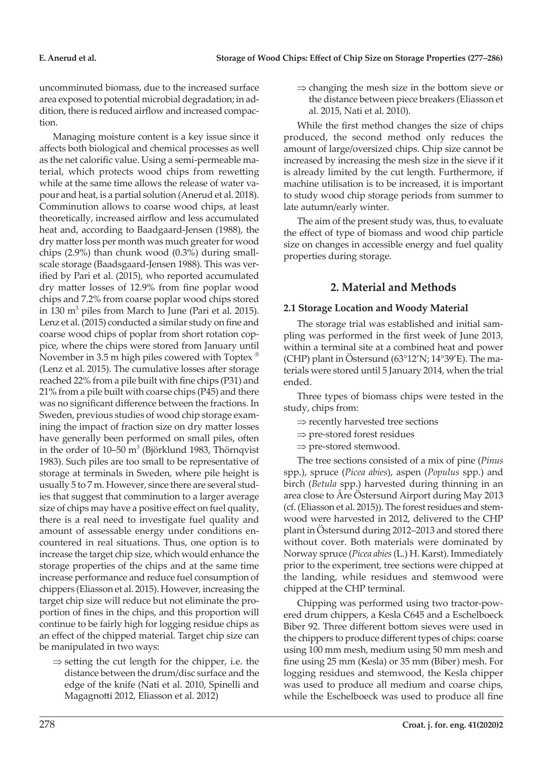uncomminuted biomass, due to the increased surface area exposed to potential microbial degradation; in addition, there is reduced airflow and increased compaction.

Managing moisture content is a key issue since it affects both biological and chemical processes as well as the net calorific value. Using a semi-permeable material, which protects wood chips from rewetting while at the same time allows the release of water vapour and heat, is a partial solution (Anerud et al. 2018). Comminution allows to coarse wood chips, at least theoretically, increased airflow and less accumulated heat and, according to Baadgaard-Jensen (1988), the dry matter loss per month was much greater for wood chips (2.9%) than chunk wood (0.3%) during smallscale storage (Baadsgaard-Jensen 1988). This was verified by Pari et al. (2015), who reported accumulated dry matter losses of 12.9% from fine poplar wood chips and 7.2% from coarse poplar wood chips stored in 130  $m^3$  piles from March to June (Pari et al. 2015). Lenz et al. (2015) conducted a similar study on fine and coarse wood chips of poplar from short rotation coppice, where the chips were stored from January until November in 3.5 m high piles cowered with Toptex <sup>®</sup> (Lenz et al. 2015). The cumulative losses after storage reached 22% from a pile built with fine chips (P31) and 21% from a pile built with coarse chips (P45) and there was no significant difference between the fractions. In Sweden, previous studies of wood chip storage examining the impact of fraction size on dry matter losses have generally been performed on small piles, often in the order of  $10-50$  m<sup>3</sup> (Björklund 1983, Thörnqvist 1983). Such piles are too small to be representative of storage at terminals in Sweden, where pile height is usually 5 to 7 m. However, since there are several studies that suggest that comminution to a larger average size of chips may have a positive effect on fuel quality, there is a real need to investigate fuel quality and amount of assessable energy under conditions encountered in real situations. Thus, one option is to increase the target chip size, which would enhance the storage properties of the chips and at the same time increase performance and reduce fuel consumption of chippers (Eliasson et al. 2015). However, increasing the target chip size will reduce but not eliminate the proportion of fines in the chips, and this proportion will continue to be fairly high for logging residue chips as an effect of the chipped material. Target chip size can be manipulated in two ways:

 $\Rightarrow$  setting the cut length for the chipper, i.e. the distance between the drum/disc surface and the edge of the knife (Nati et al. 2010, Spinelli and Magagnotti 2012, Eliasson et al. 2012)

 $\Rightarrow$  changing the mesh size in the bottom sieve or the distance between piece breakers (Eliasson et al. 2015, Nati et al. 2010).

While the first method changes the size of chips produced, the second method only reduces the amount of large/oversized chips. Chip size cannot be increased by increasing the mesh size in the sieve if it is already limited by the cut length. Furthermore, if machine utilisation is to be increased, it is important to study wood chip storage periods from summer to late autumn/early winter.

The aim of the present study was, thus, to evaluate the effect of type of biomass and wood chip particle size on changes in accessible energy and fuel quality properties during storage.

# **2. Material and Methods**

## **2.1 Storage Location and Woody Material**

The storage trial was established and initial sampling was performed in the first week of June 2013, within a terminal site at a combined heat and power (CHP) plant in Östersund (63°12'N; 14°39'E). The materials were stored until 5 January 2014, when the trial ended.

Three types of biomass chips were tested in the study, chips from:

- $\Rightarrow$  recently harvested tree sections
- $\Rightarrow$  pre-stored forest residues
- $\Rightarrow$  pre-stored stemwood.

The tree sections consisted of a mix of pine (*Pinus* spp.), spruce (*Picea abies*), aspen (*Populus* spp.) and birch (*Betula* spp.) harvested during thinning in an area close to Åre Östersund Airport during May 2013 (cf. (Eliasson et al. 2015)). The forest residues and stemwood were harvested in 2012, delivered to the CHP plant in Östersund during 2012–2013 and stored there without cover. Both materials were dominated by Norway spruce (*Picea abies* (L.) H. Karst). Immediately prior to the experiment, tree sections were chipped at the landing, while residues and stemwood were chipped at the CHP terminal.

Chipping was performed using two tractor-powered drum chippers, a Kesla C645 and a Eschelboeck Biber 92. Three different bottom sieves were used in the chippers to produce different types of chips: coarse using 100 mm mesh, medium using 50 mm mesh and fine using 25 mm (Kesla) or 35 mm (Biber) mesh. For logging residues and stemwood, the Kesla chipper was used to produce all medium and coarse chips, while the Eschelboeck was used to produce all fine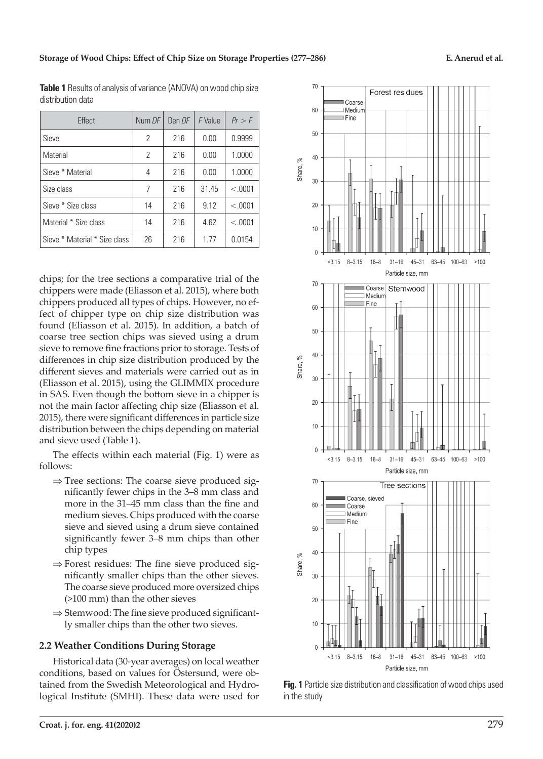| <b>Fffect</b>                 | Num DF         | Den DF | F Value | Pr > F  |
|-------------------------------|----------------|--------|---------|---------|
| Sieve                         | 2              | 216    | 0.00    | 0.9999  |
| Material                      | $\overline{2}$ | 216    | 0.00    | 1.0000  |
| Sieve * Material              | 4              | 216    | 0.00    | 1.0000  |
| Size class                    | 7              | 216    | 31.45   | < 0.001 |
| Sieve * Size class            | 14             | 216    | 9.12    | < 0.001 |
| Material * Size class         | 14             | 216    | 4.62    | < 0.001 |
| Sieve * Material * Size class | 26             | 216    | 1.77    | 0.0154  |

**Table 1** Results of analysis of variance (ANOVA) on wood chip size distribution data

chips; for the tree sections a comparative trial of the chippers were made (Eliasson et al. 2015), where both chippers produced all types of chips. However, no effect of chipper type on chip size distribution was found (Eliasson et al. 2015). In addition, a batch of coarse tree section chips was sieved using a drum sieve to remove fine fractions prior to storage. Tests of differences in chip size distribution produced by the different sieves and materials were carried out as in (Eliasson et al. 2015), using the GLIMMIX procedure in SAS. Even though the bottom sieve in a chipper is not the main factor affecting chip size (Eliasson et al. 2015), there were significant differences in particle size distribution between the chips depending on material and sieve used (Table 1).

The effects within each material (Fig. 1) were as follows:

- $\Rightarrow$  Tree sections: The coarse sieve produced significantly fewer chips in the 3–8 mm class and more in the 31–45 mm class than the fine and medium sieves. Chips produced with the coarse sieve and sieved using a drum sieve contained significantly fewer 3–8 mm chips than other chip types
- $\Rightarrow$  Forest residues: The fine sieve produced significantly smaller chips than the other sieves. The coarse sieve produced more oversized chips (>100 mm) than the other sieves
- $\Rightarrow$  Stemwood: The fine sieve produced significantly smaller chips than the other two sieves.

## **2.2 Weather Conditions During Storage**

Historical data (30-year averages) on local weather conditions, based on values for Östersund, were obtained from the Swedish Meteorological and Hydrological Institute (SMHI). These data were used for



**Fig. 1** Particle size distribution and classification of wood chips used in the study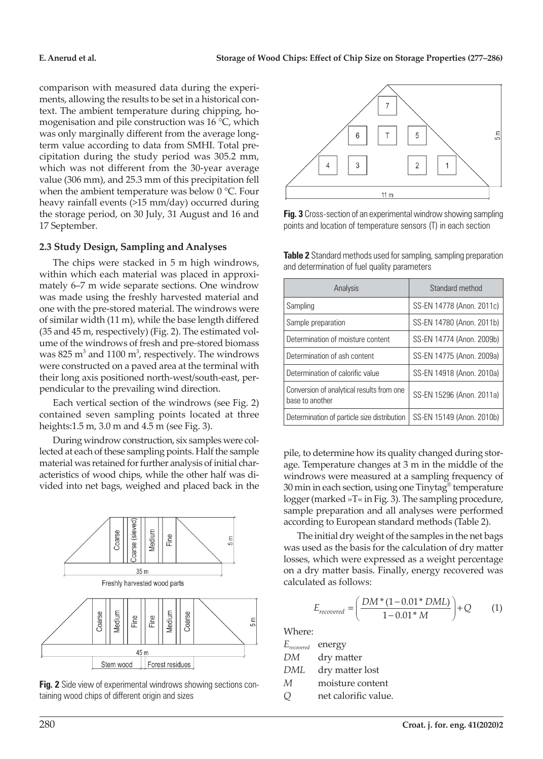comparison with measured data during the experiments, allowing the results to be set in a historical context. The ambient temperature during chipping, homogenisation and pile construction was 16 °C, which was only marginally different from the average longterm value according to data from SMHI. Total precipitation during the study period was 305.2 mm, which was not different from the 30-year average value (306 mm), and 25.3 mm of this precipitation fell when the ambient temperature was below 0 °C. Four heavy rainfall events (>15 mm/day) occurred during the storage period, on 30 July, 31 August and 16 and 17 September.

## **2.3 Study Design, Sampling and Analyses**

The chips were stacked in 5 m high windrows, within which each material was placed in approximately 6–7 m wide separate sections. One windrow was made using the freshly harvested material and one with the pre-stored material. The windrows were of similar width (11 m), while the base length differed (35 and 45 m, respectively) (Fig. 2). The estimated volume of the windrows of fresh and pre-stored biomass was  $825 \text{ m}^3$  and  $1100 \text{ m}^3$ , respectively. The windrows were constructed on a paved area at the terminal with their long axis positioned north-west/south-east, perpendicular to the prevailing wind direction.

Each vertical section of the windrows (see Fig. 2) contained seven sampling points located at three heights:1.5 m, 3.0 m and 4.5 m (see Fig. 3).

During windrow construction, six samples were collected at each of these sampling points. Half the sample material was retained for further analysis of initial characteristics of wood chips, while the other half was divided into net bags, weighed and placed back in the







**Fig. 3** Cross-section of an experimental windrow showing sampling points and location of temperature sensors (T) in each section

**Table 2** Standard methods used for sampling, sampling preparation and determination of fuel quality parameters

| Analysis                                                     | Standard method           |  |  |
|--------------------------------------------------------------|---------------------------|--|--|
| Sampling                                                     | SS-EN 14778 (Anon. 2011c) |  |  |
| Sample preparation                                           | SS-EN 14780 (Anon. 2011b) |  |  |
| Determination of moisture content                            | SS-EN 14774 (Anon. 2009b) |  |  |
| Determination of ash content                                 | SS-EN 14775 (Anon. 2009a) |  |  |
| Determination of calorific value                             | SS-EN 14918 (Anon. 2010a) |  |  |
| Conversion of analytical results from one<br>base to another | SS-EN 15296 (Anon. 2011a) |  |  |
| Determination of particle size distribution                  | SS-EN 15149 (Anon. 2010b) |  |  |

pile, to determine how its quality changed during storage. Temperature changes at 3 m in the middle of the windrows were measured at a sampling frequency of 30 min in each section, using one Tinytag® temperature logger (marked »T« in Fig. 3). The sampling procedure, sample preparation and all analyses were performed according to European standard methods (Table 2).

The initial dry weight of the samples in the net bags was used as the basis for the calculation of dry matter losses, which were expressed as a weight percentage on a dry matter basis. Finally, energy recovered was calculated as follows:

$$
E_{recovered} = \left(\frac{DM * (1 - 0.01 * DML)}{1 - 0.01 * M}\right) + Q
$$
 (1)

Where:

*Erecovered* energy

- *DM* dry matter
- *DML* dry matter lost
- *M* moisture content
- *Q* net calorific value.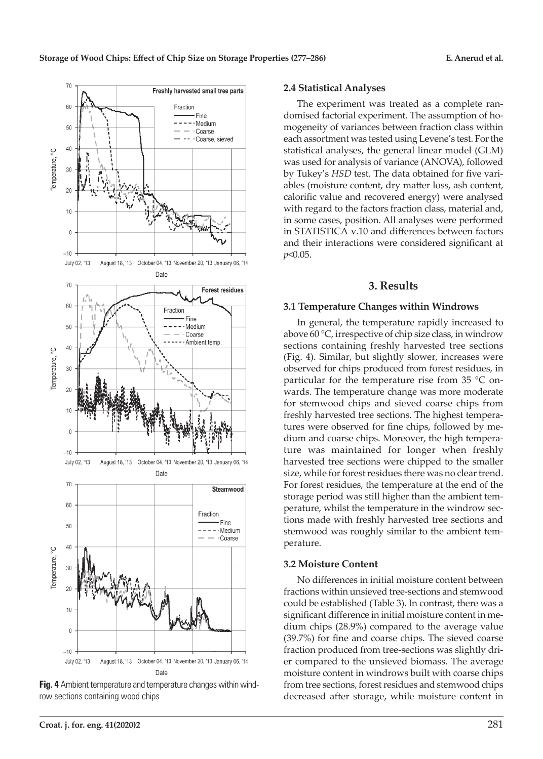

#### **Fig. 4** Ambient temperature and temperature changes within windrow sections containing wood chips

# **Croat. j. for. eng. 41(2020)2** 281

#### **2.4 Statistical Analyses**

The experiment was treated as a complete randomised factorial experiment. The assumption of homogeneity of variances between fraction class within each assortment was tested using Levene's test. For the statistical analyses, the general linear model (GLM) was used for analysis of variance (ANOVA), followed by Tukey's *HSD* test. The data obtained for five variables (moisture content, dry matter loss, ash content, calorific value and recovered energy) were analysed with regard to the factors fraction class, material and, in some cases, position. All analyses were performed in STATISTICA v.10 and differences between factors and their interactions were considered significant at *p*<0.05.

#### **3. Results**

#### **3.1 Temperature Changes within Windrows**

In general, the temperature rapidly increased to above 60 °C, irrespective of chip size class, in windrow sections containing freshly harvested tree sections (Fig. 4). Similar, but slightly slower, increases were observed for chips produced from forest residues, in particular for the temperature rise from 35 °C onwards. The temperature change was more moderate for stemwood chips and sieved coarse chips from freshly harvested tree sections. The highest temperatures were observed for fine chips, followed by medium and coarse chips. Moreover, the high temperature was maintained for longer when freshly harvested tree sections were chipped to the smaller size, while for forest residues there was no clear trend. For forest residues, the temperature at the end of the storage period was still higher than the ambient temperature, whilst the temperature in the windrow sections made with freshly harvested tree sections and stemwood was roughly similar to the ambient temperature.

#### **3.2 Moisture Content**

No differences in initial moisture content between fractions within unsieved tree-sections and stemwood could be established (Table 3). In contrast, there was a significant difference in initial moisture content in medium chips (28.9%) compared to the average value (39.7%) for fine and coarse chips. The sieved coarse fraction produced from tree-sections was slightly drier compared to the unsieved biomass. The average moisture content in windrows built with coarse chips from tree sections, forest residues and stemwood chips decreased after storage, while moisture content in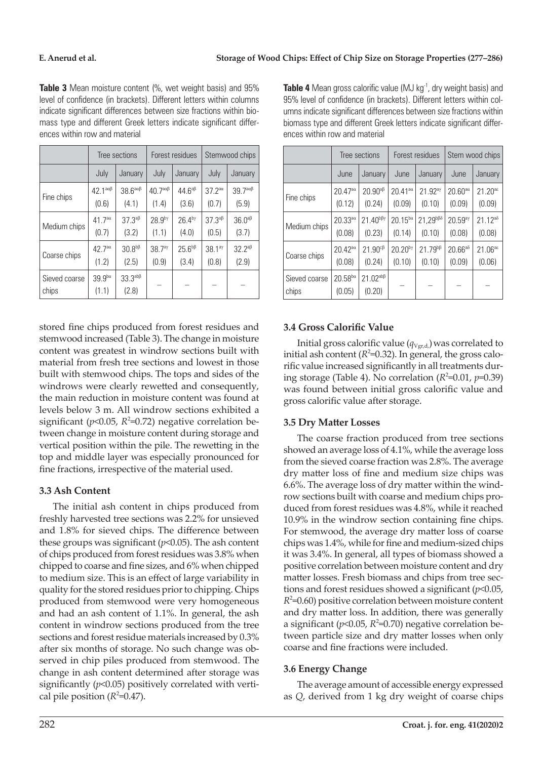|                        | Tree sections                |                                          | Forest residues              |                    | Stemwood chips                           |                              |
|------------------------|------------------------------|------------------------------------------|------------------------------|--------------------|------------------------------------------|------------------------------|
|                        | July                         | January                                  | July                         | January            | July                                     | January                      |
| Fine chips             | $42.1^{\text{a}\alpha\beta}$ | $38.6^{\text{a}\alpha\beta}$             | $40.7^{\text{a}\alpha\beta}$ | $44.6^{\text{ap}}$ | $37.2^{aa}$                              | $39.7^{\text{a}\alpha\beta}$ |
|                        | (0.6)                        | (4.1)                                    | (1.4)                        | (3.6)              | (0.7)                                    | (5.9)                        |
| Medium chips           | 41.7 <sup>aa</sup>           | $37.3^{a}$ <sup><math>\beta</math></sup> | 28.9 <sup>by</sup>           | $26.4^{b\gamma}$   | $37.3^{a}$ <sup><math>\beta</math></sup> | $36.0^{\text{ap}}$           |
|                        | (0.7)                        | (3.2)                                    | (1.1)                        | (4.0)              | (0.5)                                    | (3.7)                        |
| Coarse chips           | 42.7a                        | 30.8 <sup>b</sup>                        | 38.7 <sup>ay</sup>           | $25.6^{b}$         | 38.1 <sup>ay</sup>                       | $32.2^{a\beta}$              |
|                        | (1.2)                        | (2.5)                                    | (0.9)                        | (3.4)              | (0.8)                                    | (2.9)                        |
| Sieved coarse<br>chips | $39.9^{ba}$<br>(1.1)         | $33.3^{ab}$<br>(2.8)                     |                              |                    |                                          |                              |

**Table 3** Mean moisture content (%, wet weight basis) and 95% level of confidence (in brackets). Different letters within columns indicate significant differences between size fractions within biomass type and different Greek letters indicate significant differences within row and material

stored fine chips produced from forest residues and stemwood increased (Table 3). The change in moisture content was greatest in windrow sections built with material from fresh tree sections and lowest in those built with stemwood chips. The tops and sides of the windrows were clearly rewetted and consequently, the main reduction in moisture content was found at levels below 3 m. All windrow sections exhibited a significant ( $p$ <0.05,  $R^2$ =0.72) negative correlation between change in moisture content during storage and vertical position within the pile. The rewetting in the top and middle layer was especially pronounced for fine fractions, irrespective of the material used.

# **3.3 Ash Content**

The initial ash content in chips produced from freshly harvested tree sections was 2.2% for unsieved and 1.8% for sieved chips. The difference between these groups was significant (*p*<0.05). The ash content of chips produced from forest residues was 3.8% when chipped to coarse and fine sizes, and 6% when chipped to medium size. This is an effect of large variability in quality for the stored residues prior to chipping. Chips produced from stemwood were very homogeneous and had an ash content of 1.1%. In general, the ash content in windrow sections produced from the tree sections and forest residue materials increased by 0.3% after six months of storage. No such change was observed in chip piles produced from stemwood. The change in ash content determined after storage was significantly (*p*<0.05) positively correlated with vertical pile position  $(R^2=0.47)$ .

**Table 4** Mean gross calorific value (MJ kg<sup>-1</sup>, dry weight basis) and 95% level of confidence (in brackets). Different letters within columns indicate significant differences between size fractions within biomass type and different Greek letters indicate significant differences within row and material

|                        | Tree sections              |                                    | Forest residues                         |                        | Stem wood chips     |                                           |
|------------------------|----------------------------|------------------------------------|-----------------------------------------|------------------------|---------------------|-------------------------------------------|
|                        | June                       | January                            | June                                    | January                | June                | January                                   |
| Fine chips             | 20.47a                     | $20.90^{a\beta}$                   | $20.41$ <sup>a<math>\alpha</math></sup> | 21.92 <sup>ay</sup>    | $20.60^{a\alpha}$   | $21.20$ <sup>a<math>\epsilon</math></sup> |
|                        | (0.12)                     | (0.24)                             | (0.09)                                  | (0.10)                 | (0.09)              | (0.09)                                    |
| Medium chips           | $20.33^{a\alpha}$          | $21.40^{b\beta\gamma}$             | $20.15^{ba}$                            | $21,29^{b\beta\delta}$ | 20.59 <sup>ay</sup> | $21.12^{a\delta}$                         |
|                        | (0.08)                     | (0.23)                             | (0.14)                                  | (0.10)                 | (0.08)              | (0.08)                                    |
| Coarse chips           | $20.42^{a\alpha}$          | $21.90^{c}$                        | $20.20^{b\gamma}$                       | $21.79^{b}$            | $20.66^{a\delta}$   | 21.06a                                    |
|                        | (0.08)                     | (0.24)                             | (0.10)                                  | (0.10)                 | (0.09)              | (0.06)                                    |
| Sieved coarse<br>chips | $20.58^{\rm ba}$<br>(0.05) | $21.02^{\text{ab}\beta}$<br>(0.20) |                                         |                        |                     |                                           |

# **3.4 Gross Calorific Value**

Initial gross calorific value  $(q_{Vgr,d})$  was correlated to initial ash content ( $R^2$ =0.32). In general, the gross calorific value increased significantly in all treatments during storage (Table 4). No correlation  $(R^2=0.01, p=0.39)$ was found between initial gross calorific value and gross calorific value after storage.

# **3.5 Dry Matter Losses**

The coarse fraction produced from tree sections showed an average loss of 4.1%, while the average loss from the sieved coarse fraction was 2.8%. The average dry matter loss of fine and medium size chips was 6.6%. The average loss of dry matter within the windrow sections built with coarse and medium chips produced from forest residues was 4.8%, while it reached 10.9% in the windrow section containing fine chips. For stemwood, the average dry matter loss of coarse chips was 1.4%, while for fine and medium-sized chips it was 3.4%. In general, all types of biomass showed a positive correlation between moisture content and dry matter losses. Fresh biomass and chips from tree sections and forest residues showed a significant (*p*<0.05,  $R^2$ =0.60) positive correlation between moisture content and dry matter loss. In addition, there was generally a significant ( $p$ <0.05,  $R$ <sup>2</sup>=0.70) negative correlation between particle size and dry matter losses when only coarse and fine fractions were included.

# **3.6 Energy Change**

The average amount of accessible energy expressed as *Q*, derived from 1 kg dry weight of coarse chips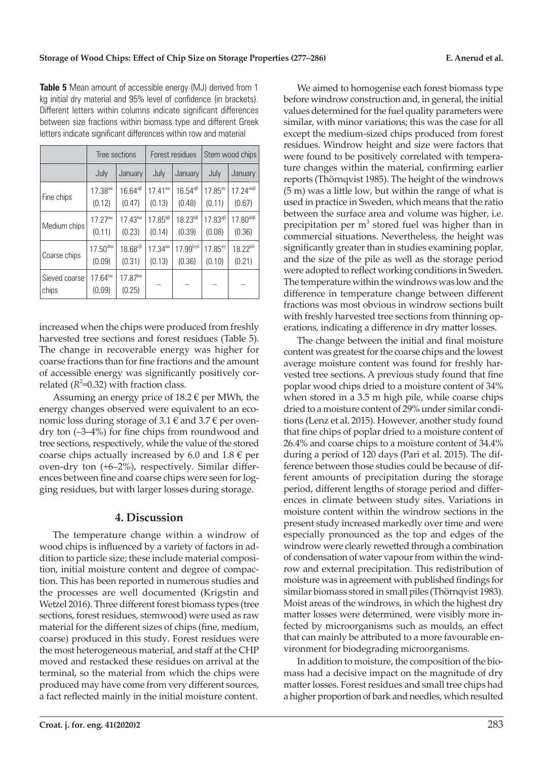|                        | Tree sections               |                                        | Forest residues                         |                         | Stem wood chips     |                               |
|------------------------|-----------------------------|----------------------------------------|-----------------------------------------|-------------------------|---------------------|-------------------------------|
|                        | July                        | January                                | July                                    | January                 | July                | January                       |
| Fine chips             | $17.38^{a\alpha}$           | $16.64^{a\beta}$                       | $17.41$ <sup>a<math>\alpha</math></sup> | $16.54^{a\beta}$        | $17.85^{a}$         | $17.24^{\text{a}\alpha\beta}$ |
|                        | (0.12)                      | (0.47)                                 | (0.13)                                  | (0.48)                  | (0.11)              | (0.67)                        |
| Medium chips           | 17.27a                      | $17.43^{ba}$                           | $17.85^{b}$ <sup>B</sup>                | $18.23^{b}$             | $17.83^{a}$         | $17.80^{ab}$                  |
|                        | (0.11)                      | (0.23)                                 | (0.14)                                  | (0.39)                  | (0.08)              | (0.36)                        |
| Coarse chips           | $17.50^{\text{aba}}$        | $18.68c$ <sup><math>\beta</math></sup> | $17.34$ <sup>aa</sup>                   | $17.99^{b\gamma\delta}$ | 17.85 <sup>ay</sup> | $18.22^{b\delta}$             |
|                        | (0.09)                      | (0.31)                                 | (0.13)                                  | (0.36)                  | (0.10)              | (0.21)                        |
| Sieved coarse<br>chips | $17.64^{b\alpha}$<br>(0.09) | $17.87^{ba}$<br>(0.25)                 |                                         |                         |                     |                               |

**Table 5** Mean amount of accessible energy (MJ) derived from 1 kg initial dry material and 95% level of confidence (in brackets). Different letters within columns indicate significant differences between size fractions within biomass type and different Greek letters indicate significant differences within row and material

increased when the chips were produced from freshly harvested tree sections and forest residues (Table 5). The change in recoverable energy was higher for coarse fractions than for fine fractions and the amount of accessible energy was significantly positively correlated  $(R^2=0.32)$  with fraction class.

Assuming an energy price of 18.2  $\epsilon$  per MWh, the energy changes observed were equivalent to an economic loss during storage of 3.1  $\epsilon$  and 3.7  $\epsilon$  per ovendry ton (–3–4%) for fine chips from roundwood and tree sections, respectively, while the value of the stored coarse chips actually increased by 6.0 and  $1.8 \text{ }\epsilon$  per oven-dry ton (+6–2%), respectively. Similar differences between fine and coarse chips were seen for logging residues, but with larger losses during storage.

## **4. Discussion**

The temperature change within a windrow of wood chips is influenced by a variety of factors in addition to particle size; these include material composition, initial moisture content and degree of compaction. This has been reported in numerous studies and the processes are well documented (Krigstin and Wetzel 2016). Three different forest biomass types (tree sections, forest residues, stemwood) were used as raw material for the different sizes of chips (fine, medium, coarse) produced in this study. Forest residues were the most heterogeneous material, and staff at the CHP moved and restacked these residues on arrival at the terminal, so the material from which the chips were produced may have come from very different sources, a fact reflected mainly in the initial moisture content.

We aimed to homogenise each forest biomass type before windrow construction and, in general, the initial values determined for the fuel quality parameters were similar, with minor variations; this was the case for all except the medium-sized chips produced from forest residues. Windrow height and size were factors that were found to be positively correlated with temperature changes within the material, confirming earlier reports (Thörnqvist 1985). The height of the windrows (5 m) was a little low, but within the range of what is used in practice in Sweden, which means that the ratio between the surface area and volume was higher, i.e. precipitation per  $m<sup>3</sup>$  stored fuel was higher than in commercial situations. Nevertheless, the height was significantly greater than in studies examining poplar, and the size of the pile as well as the storage period were adopted to reflect working conditions in Sweden. The temperature within the windrows was low and the difference in temperature change between different fractions was most obvious in windrow sections built with freshly harvested tree sections from thinning operations, indicating a difference in dry matter losses.

The change between the initial and final moisture content was greatest for the coarse chips and the lowest average moisture content was found for freshly harvested tree sections. A previous study found that fine poplar wood chips dried to a moisture content of 34% when stored in a 3.5 m high pile, while coarse chips dried to a moisture content of 29% under similar conditions (Lenz et al. 2015). However, another study found that fine chips of poplar dried to a moisture content of 26.4% and coarse chips to a moisture content of 34.4% during a period of 120 days (Pari et al. 2015). The difference between those studies could be because of different amounts of precipitation during the storage period, different lengths of storage period and differences in climate between study sites. Variations in moisture content within the windrow sections in the present study increased markedly over time and were especially pronounced as the top and edges of the windrow were clearly rewetted through a combination of condensation of water vapour from within the windrow and external precipitation. This redistribution of moisture was in agreement with published findings for similar biomass stored in small piles (Thörnqvist 1983). Moist areas of the windrows, in which the highest dry matter losses were determined, were visibly more infected by microorganisms such as moulds, an effect that can mainly be attributed to a more favourable environment for biodegrading microorganisms.

In addition to moisture, the composition of the biomass had a decisive impact on the magnitude of dry matter losses. Forest residues and small tree chips had a higher proportion of bark and needles, which resulted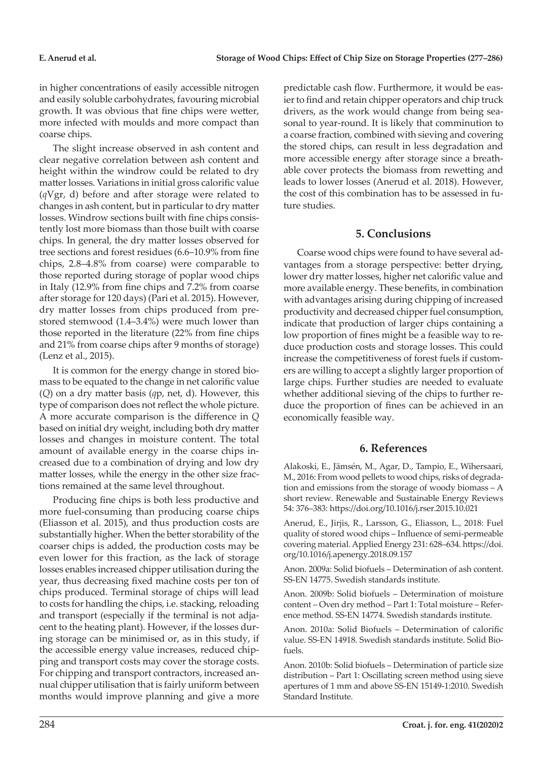in higher concentrations of easily accessible nitrogen and easily soluble carbohydrates, favouring microbial growth. It was obvious that fine chips were wetter, more infected with moulds and more compact than coarse chips.

The slight increase observed in ash content and clear negative correlation between ash content and height within the windrow could be related to dry matter losses. Variations in initial gross calorific value (*q*Vgr, d) before and after storage were related to changes in ash content, but in particular to dry matter losses. Windrow sections built with fine chips consistently lost more biomass than those built with coarse chips. In general, the dry matter losses observed for tree sections and forest residues (6.6–10.9% from fine chips, 2.8–4.8% from coarse) were comparable to those reported during storage of poplar wood chips in Italy (12.9% from fine chips and 7.2% from coarse after storage for 120 days) (Pari et al. 2015). However, dry matter losses from chips produced from prestored stemwood (1.4–3.4%) were much lower than those reported in the literature (22% from fine chips and 21% from coarse chips after 9 months of storage) (Lenz et al., 2015).

It is common for the energy change in stored biomass to be equated to the change in net calorific value (*Q*) on a dry matter basis (*q*p, net, d). However, this type of comparison does not reflect the whole picture. A more accurate comparison is the difference in *Q* based on initial dry weight, including both dry matter losses and changes in moisture content. The total amount of available energy in the coarse chips increased due to a combination of drying and low dry matter losses, while the energy in the other size fractions remained at the same level throughout.

Producing fine chips is both less productive and more fuel-consuming than producing coarse chips (Eliasson et al. 2015), and thus production costs are substantially higher. When the better storability of the coarser chips is added, the production costs may be even lower for this fraction, as the lack of storage losses enables increased chipper utilisation during the year, thus decreasing fixed machine costs per ton of chips produced. Terminal storage of chips will lead to costs for handling the chips, i.e. stacking, reloading and transport (especially if the terminal is not adjacent to the heating plant). However, if the losses during storage can be minimised or, as in this study, if the accessible energy value increases, reduced chipping and transport costs may cover the storage costs. For chipping and transport contractors, increased annual chipper utilisation that is fairly uniform between months would improve planning and give a more

predictable cash flow. Furthermore, it would be easier to find and retain chipper operators and chip truck drivers, as the work would change from being seasonal to year-round. It is likely that comminution to a coarse fraction, combined with sieving and covering the stored chips, can result in less degradation and more accessible energy after storage since a breathable cover protects the biomass from rewetting and leads to lower losses (Anerud et al. 2018). However, the cost of this combination has to be assessed in future studies.

## **5. Conclusions**

Coarse wood chips were found to have several advantages from a storage perspective: better drying, lower dry matter losses, higher net calorific value and more available energy. These benefits, in combination with advantages arising during chipping of increased productivity and decreased chipper fuel consumption, indicate that production of larger chips containing a low proportion of fines might be a feasible way to reduce production costs and storage losses. This could increase the competitiveness of forest fuels if customers are willing to accept a slightly larger proportion of large chips. Further studies are needed to evaluate whether additional sieving of the chips to further reduce the proportion of fines can be achieved in an economically feasible way.

# **6. References**

Alakoski, E., Jämsén, M., Agar, D., Tampio, E., Wihersaari, M., 2016: From wood pellets to wood chips, risks of degradation and emissions from the storage of woody biomass – A short review. Renewable and Sustainable Energy Reviews 54: 376–383: https://doi.org/10.1016/j.rser.2015.10.021

Anerud, E., Jirjis, R., Larsson, G., Eliasson, L., 2018: Fuel quality of stored wood chips – Influence of semi-permeable covering material. Applied Energy 231: 628–634. https://doi. org/10.1016/j.apenergy.2018.09.157

Anon. 2009a: Solid biofuels – Determination of ash content. SS-EN 14775. Swedish standards institute.

Anon. 2009b: Solid biofuels – Determination of moisture content – Oven dry method – Part 1: Total moisture – Reference method. SS-EN 14774. Swedish standards institute.

Anon. 2010a: Solid Biofuels – Determination of calorific value. SS-EN 14918. Swedish standards institute. Solid Biofuels.

Anon. 2010b: Solid biofuels – Determination of particle size distribution – Part 1: Oscillating screen method using sieve apertures of 1 mm and above SS-EN 15149-1:2010. Swedish Standard Institute.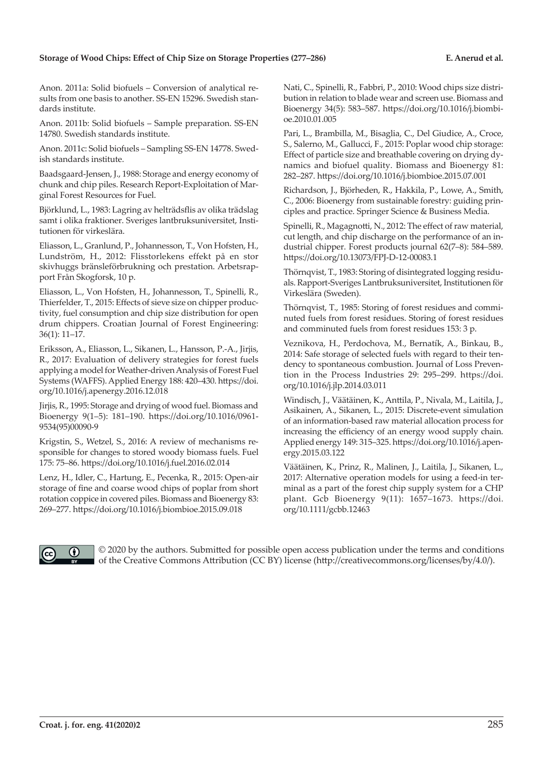#### **Storage of Wood Chips: Effect of Chip Size on Storage Properties (277–286) E. Anerud et al.**

Anon. 2011a: Solid biofuels – Conversion of analytical results from one basis to another. SS-EN 15296. Swedish standards institute.

Anon. 2011b: Solid biofuels – Sample preparation. SS-EN 14780. Swedish standards institute.

Anon. 2011c: Solid biofuels – Sampling SS-EN 14778. Swedish standards institute.

Baadsgaard-Jensen, J., 1988: Storage and energy economy of chunk and chip piles. Research Report-Exploitation of Marginal Forest Resources for Fuel.

Björklund, L., 1983: Lagring av helträdsflis av olika trädslag samt i olika fraktioner. Sveriges lantbruksuniversitet, Institutionen för virkeslära.

Eliasson, L., Granlund, P., Johannesson, T., Von Hofsten, H., Lundström, H., 2012: Flisstorlekens effekt på en stor skivhuggs bränsleförbrukning och prestation. Arbetsrapport Från Skogforsk, 10 p.

Eliasson, L., Von Hofsten, H., Johannesson, T., Spinelli, R., Thierfelder, T., 2015: Effects of sieve size on chipper productivity, fuel consumption and chip size distribution for open drum chippers. Croatian Journal of Forest Engineering: 36(1): 11–17.

Eriksson, A., Eliasson, L., Sikanen, L., Hansson, P.-A., Jirjis, R., 2017: Evaluation of delivery strategies for forest fuels applying a model for Weather-driven Analysis of Forest Fuel Systems (WAFFS). Applied Energy 188: 420–430. https://doi. org/10.1016/j.apenergy.2016.12.018

Jirjis, R., 1995: Storage and drying of wood fuel. Biomass and Bioenergy 9(1–5): 181–190. https://doi.org/10.1016/0961- 9534(95)00090-9

Krigstin, S., Wetzel, S., 2016: A review of mechanisms responsible for changes to stored woody biomass fuels. Fuel 175: 75–86. https://doi.org/10.1016/j.fuel.2016.02.014

Lenz, H., Idler, C., Hartung, E., Pecenka, R., 2015: Open-air storage of fine and coarse wood chips of poplar from short rotation coppice in covered piles. Biomass and Bioenergy 83: 269–277. https://doi.org/10.1016/j.biombioe.2015.09.018

Nati, C., Spinelli, R., Fabbri, P., 2010: Wood chips size distribution in relation to blade wear and screen use. Biomass and Bioenergy 34(5): 583–587. https://doi.org/10.1016/j.biombioe.2010.01.005

Pari, L., Brambilla, M., Bisaglia, C., Del Giudice, A., Croce, S., Salerno, M., Gallucci, F., 2015: Poplar wood chip storage: Effect of particle size and breathable covering on drying dynamics and biofuel quality. Biomass and Bioenergy 81: 282–287. https://doi.org/10.1016/j.biombioe.2015.07.001

Richardson, J., Björheden, R., Hakkila, P., Lowe, A., Smith, C., 2006: Bioenergy from sustainable forestry: guiding principles and practice. Springer Science & Business Media.

Spinelli, R., Magagnotti, N., 2012: The effect of raw material, cut length, and chip discharge on the performance of an industrial chipper. Forest products journal 62(7–8): 584–589. https://doi.org/10.13073/FPJ-D-12-00083.1

Thörnqvist, T., 1983: Storing of disintegrated logging residuals. Rapport-Sveriges Lantbruksuniversitet, Institutionen för Virkeslära (Sweden).

Thörnqvist, T., 1985: Storing of forest residues and comminuted fuels from forest residues. Storing of forest residues and comminuted fuels from forest residues 153: 3 p.

Veznikova, H., Perdochova, M., Bernatík, A., Binkau, B., 2014: Safe storage of selected fuels with regard to their tendency to spontaneous combustion. Journal of Loss Prevention in the Process Industries 29: 295–299. https://doi. org/10.1016/j.jlp.2014.03.011

Windisch, J., Väätäinen, K., Anttila, P., Nivala, M., Laitila, J., Asikainen, A., Sikanen, L., 2015: Discrete-event simulation of an information-based raw material allocation process for increasing the efficiency of an energy wood supply chain. Applied energy 149: 315–325. https://doi.org/10.1016/j.apenergy.2015.03.122

Väätäinen, K., Prinz, R., Malinen, J., Laitila, J., Sikanen, L., 2017: Alternative operation models for using a feed‐in terminal as a part of the forest chip supply system for a CHP plant. Gcb Bioenergy 9(11): 1657–1673. https://doi. org/10.1111/gcbb.12463



 © 2020 by the authors. Submitted for possible open access publication under the terms and conditions of the Creative Commons Attribution (CC BY) license (http://creativecommons.org/licenses/by/4.0/).